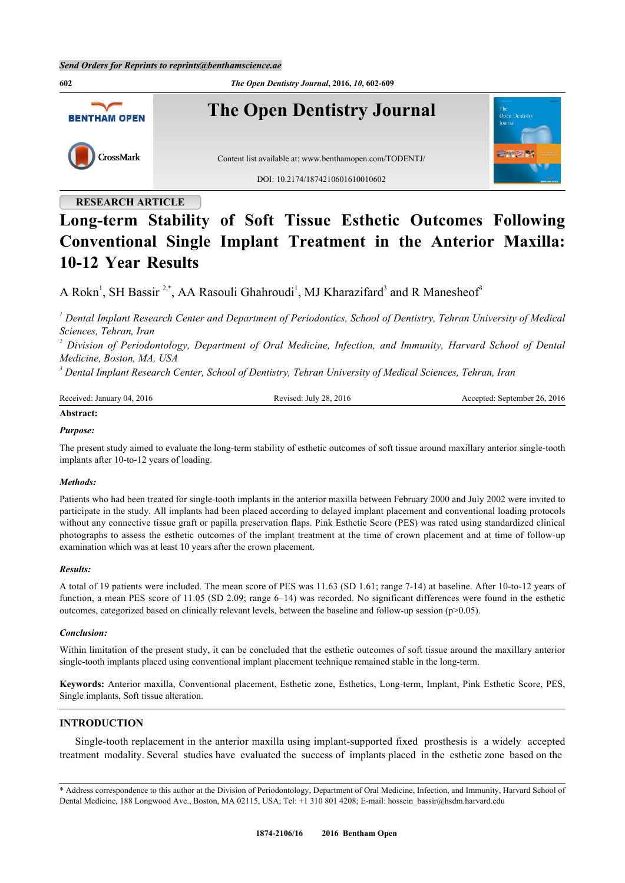**602** *The Open Dentistry Journal***, 2016,** *10***, 602-609 The Open Dentistry Journal BENTHAM OPEN** CrossMark Content list available at: [www.benthamopen.com/TODENTJ/](http://www.benthamopen.com/TODENTJ/) DOI: [10.2174/1874210601610010602](http://dx.doi.org/10.2174/1874210601610010602)

# **RESEARCH ARTICLE**

# **Long-term Stability of Soft Tissue Esthetic Outcomes Following Conventional Single Implant Treatment in the Anterior Maxilla: 10-12 Year Results**

A Rokn<sup>[1](#page-0-0)</sup>, SH Bassir<sup>[2](#page-0-1),[\\*](#page-0-2)</sup>, AA Rasouli Ghahroudi<sup>1</sup>, MJ Kharazifard<sup>[3](#page-0-3)</sup> and R Manesheof<sup>3</sup>

<span id="page-0-0"></span>*1 Dental Implant Research Center and Department of Periodontics, School of Dentistry, Tehran University of Medical Sciences, Tehran, Iran*

<span id="page-0-1"></span>*2 Division of Periodontology, Department of Oral Medicine, Infection, and Immunity, Harvard School of Dental Medicine, Boston, MA, USA*

<span id="page-0-3"></span>*3 Dental Implant Research Center, School of Dentistry, Tehran University of Medical Sciences, Tehran, Iran*

| Received: January 04. | July 28, 2016 | September 26, 2016 |
|-----------------------|---------------|--------------------|
| 2016                  | levised:      | cented:            |
| $\cdots$              |               |                    |

# **Abstract:**

# *Purpose:*

The present study aimed to evaluate the long-term stability of esthetic outcomes of soft tissue around maxillary anterior single-tooth implants after 10-to-12 years of loading.

# *Methods:*

Patients who had been treated for single-tooth implants in the anterior maxilla between February 2000 and July 2002 were invited to participate in the study. All implants had been placed according to delayed implant placement and conventional loading protocols without any connective tissue graft or papilla preservation flaps. Pink Esthetic Score (PES) was rated using standardized clinical photographs to assess the esthetic outcomes of the implant treatment at the time of crown placement and at time of follow-up examination which was at least 10 years after the crown placement.

# *Results:*

A total of 19 patients were included. The mean score of PES was 11.63 (SD 1.61; range 7-14) at baseline. After 10-to-12 years of function, a mean PES score of 11.05 (SD 2.09; range 6–14) was recorded. No significant differences were found in the esthetic outcomes, categorized based on clinically relevant levels, between the baseline and follow-up session (p>0.05).

# *Conclusion:*

Within limitation of the present study, it can be concluded that the esthetic outcomes of soft tissue around the maxillary anterior single-tooth implants placed using conventional implant placement technique remained stable in the long-term.

**Keywords:** Anterior maxilla, Conventional placement, Esthetic zone, Esthetics, Long-term, Implant, Pink Esthetic Score, PES, Single implants, Soft tissue alteration.

# **INTRODUCTION**

Single-tooth replacement in the anterior maxilla using implant-supported fixed prosthesis is a widely accepted treatment modality. Several studies have evaluated the success of implants placed in the esthetic zone based on the

<span id="page-0-2"></span><sup>\*</sup> Address correspondence to this author at the Division of Periodontology, Department of Oral Medicine, Infection, and Immunity, Harvard School of Dental Medicine, 188 Longwood Ave., Boston, MA 02115, USA; Tel: +1 310 801 4208; E-mail: [hossein\\_bassir@hsdm.harvard.edu](mailto:hossein_bassir@hsdm.harvard.edu)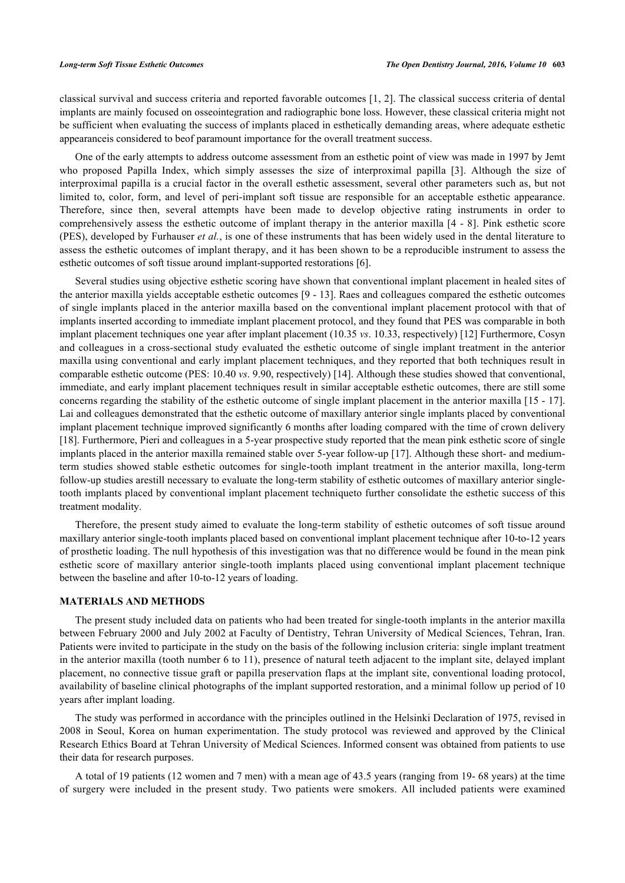classical survival and success criteria and reported favorable outcomes [\[1](#page-6-0), [2](#page-6-1)]. The classical success criteria of dental implants are mainly focused on osseointegration and radiographic bone loss. However, these classical criteria might not be sufficient when evaluating the success of implants placed in esthetically demanding areas, where adequate esthetic appearanceis considered to beof paramount importance for the overall treatment success.

One of the early attempts to address outcome assessment from an esthetic point of view was made in 1997 by Jemt who proposed Papilla Index, which simply assesses the size of interproximal papilla[[3](#page-6-2)]. Although the size of interproximal papilla is a crucial factor in the overall esthetic assessment, several other parameters such as, but not limited to, color, form, and level of peri-implant soft tissue are responsible for an acceptable esthetic appearance. Therefore, since then, several attempts have been made to develop objective rating instruments in order to comprehensively assess the esthetic outcome of implant therapy in the anterior maxilla [[4](#page-6-3) - [8](#page-6-4)]. Pink esthetic score (PES), developed by Furhauser *et al.*, is one of these instruments that has been widely used in the dental literature to assess the esthetic outcomes of implant therapy, and it has been shown to be a reproducible instrument to assess the esthetic outcomes of soft tissue around implant-supported restorations [[6\]](#page-6-5).

Several studies using objective esthetic scoring have shown that conventional implant placement in healed sites of the anterior maxilla yields acceptable esthetic outcomes [\[9](#page-6-6) - [13](#page-6-7)]. Raes and colleagues compared the esthetic outcomes of single implants placed in the anterior maxilla based on the conventional implant placement protocol with that of implants inserted according to immediate implant placement protocol, and they found that PES was comparable in both implant placement techniques one year after implant placement (10.35 *vs*. 10.33, respectively) [[12\]](#page-6-8) Furthermore, Cosyn and colleagues in a cross-sectional study evaluated the esthetic outcome of single implant treatment in the anterior maxilla using conventional and early implant placement techniques, and they reported that both techniques result in comparable esthetic outcome (PES: 10.40 *vs*. 9.90, respectively) [\[14](#page-6-9)]. Although these studies showed that conventional, immediate, and early implant placement techniques result in similar acceptable esthetic outcomes, there are still some concerns regarding the stability of the esthetic outcome of single implant placement in the anterior maxilla [[15](#page-6-10) - [17\]](#page-6-11). Lai and colleagues demonstrated that the esthetic outcome of maxillary anterior single implants placed by conventional implant placement technique improved significantly 6 months after loading compared with the time of crown delivery [\[18](#page-6-12)]. Furthermore, Pieri and colleagues in a 5-year prospective study reported that the mean pink esthetic score of single implants placed in the anterior maxilla remained stable over 5-year follow-up [\[17](#page-6-11)]. Although these short- and mediumterm studies showed stable esthetic outcomes for single-tooth implant treatment in the anterior maxilla, long-term follow-up studies arestill necessary to evaluate the long-term stability of esthetic outcomes of maxillary anterior singletooth implants placed by conventional implant placement techniqueto further consolidate the esthetic success of this treatment modality.

Therefore, the present study aimed to evaluate the long-term stability of esthetic outcomes of soft tissue around maxillary anterior single-tooth implants placed based on conventional implant placement technique after 10-to-12 years of prosthetic loading. The null hypothesis of this investigation was that no difference would be found in the mean pink esthetic score of maxillary anterior single-tooth implants placed using conventional implant placement technique between the baseline and after 10-to-12 years of loading.

# **MATERIALS AND METHODS**

The present study included data on patients who had been treated for single-tooth implants in the anterior maxilla between February 2000 and July 2002 at Faculty of Dentistry, Tehran University of Medical Sciences, Tehran, Iran. Patients were invited to participate in the study on the basis of the following inclusion criteria: single implant treatment in the anterior maxilla (tooth number 6 to 11), presence of natural teeth adjacent to the implant site, delayed implant placement, no connective tissue graft or papilla preservation flaps at the implant site, conventional loading protocol, availability of baseline clinical photographs of the implant supported restoration, and a minimal follow up period of 10 years after implant loading.

The study was performed in accordance with the principles outlined in the Helsinki Declaration of 1975, revised in 2008 in Seoul, Korea on human experimentation. The study protocol was reviewed and approved by the Clinical Research Ethics Board at Tehran University of Medical Sciences. Informed consent was obtained from patients to use their data for research purposes.

A total of 19 patients (12 women and 7 men) with a mean age of 43.5 years (ranging from 19- 68 years) at the time of surgery were included in the present study. Two patients were smokers. All included patients were examined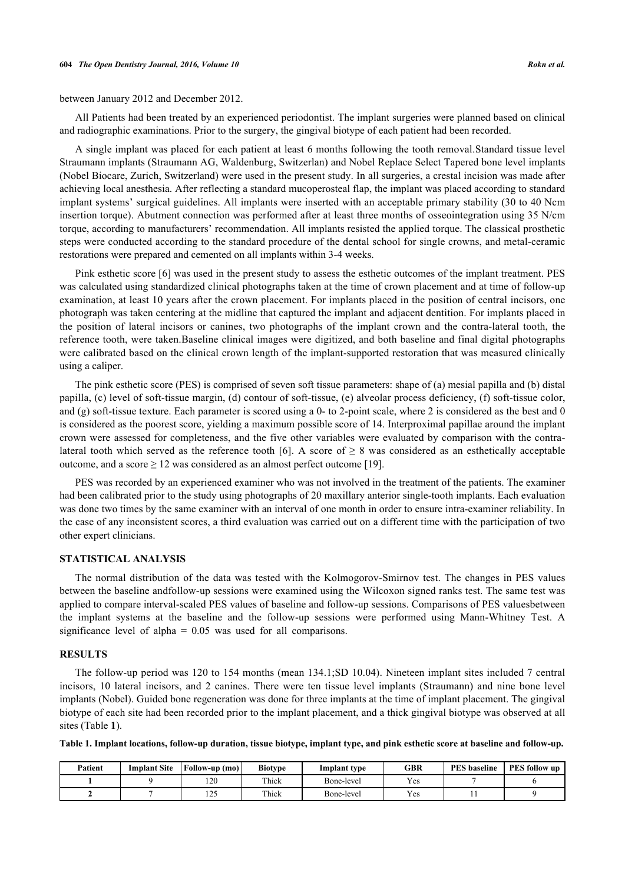between January 2012 and December 2012.

All Patients had been treated by an experienced periodontist. The implant surgeries were planned based on clinical and radiographic examinations. Prior to the surgery, the gingival biotype of each patient had been recorded.

A single implant was placed for each patient at least 6 months following the tooth removal.Standard tissue level Straumann implants (Straumann AG, Waldenburg, Switzerlan) and Nobel Replace Select Tapered bone level implants (Nobel Biocare, Zurich, Switzerland) were used in the present study. In all surgeries, a crestal incision was made after achieving local anesthesia. After reflecting a standard mucoperosteal flap, the implant was placed according to standard implant systems' surgical guidelines. All implants were inserted with an acceptable primary stability (30 to 40 Ncm insertion torque). Abutment connection was performed after at least three months of osseointegration using 35 N/cm torque, according to manufacturers' recommendation. All implants resisted the applied torque. The classical prosthetic steps were conducted according to the standard procedure of the dental school for single crowns, and metal-ceramic restorations were prepared and cemented on all implants within 3-4 weeks.

Pink esthetic score [[6\]](#page-6-5) was used in the present study to assess the esthetic outcomes of the implant treatment. PES was calculated using standardized clinical photographs taken at the time of crown placement and at time of follow-up examination, at least 10 years after the crown placement. For implants placed in the position of central incisors, one photograph was taken centering at the midline that captured the implant and adjacent dentition. For implants placed in the position of lateral incisors or canines, two photographs of the implant crown and the contra-lateral tooth, the reference tooth, were taken.Baseline clinical images were digitized, and both baseline and final digital photographs were calibrated based on the clinical crown length of the implant-supported restoration that was measured clinically using a caliper.

The pink esthetic score (PES) is comprised of seven soft tissue parameters: shape of (a) mesial papilla and (b) distal papilla, (c) level of soft-tissue margin, (d) contour of soft-tissue, (e) alveolar process deficiency, (f) soft-tissue color, and (g) soft-tissue texture. Each parameter is scored using a  $0-$  to 2-point scale, where 2 is considered as the best and  $0$ is considered as the poorest score, yielding a maximum possible score of 14. Interproximal papillae around the implant crown were assessed for completeness, and the five other variables were evaluated by comparison with the contra-lateral tooth which served as the reference tooth [\[6](#page-6-5)]. A score of  $\geq 8$  was considered as an esthetically acceptable outcome, and a score  $\geq 12$  was considered as an almost perfect outcome [\[19](#page-7-0)].

PES was recorded by an experienced examiner who was not involved in the treatment of the patients. The examiner had been calibrated prior to the study using photographs of 20 maxillary anterior single-tooth implants. Each evaluation was done two times by the same examiner with an interval of one month in order to ensure intra-examiner reliability. In the case of any inconsistent scores, a third evaluation was carried out on a different time with the participation of two other expert clinicians.

### **STATISTICAL ANALYSIS**

The normal distribution of the data was tested with the Kolmogorov-Smirnov test. The changes in PES values between the baseline andfollow-up sessions were examined using the Wilcoxon signed ranks test. The same test was applied to compare interval-scaled PES values of baseline and follow-up sessions. Comparisons of PES valuesbetween the implant systems at the baseline and the follow-up sessions were performed using Mann-Whitney Test. A significance level of alpha = 0.05 was used for all comparisons.

### **RESULTS**

The follow-up period was 120 to 154 months (mean 134.1;SD 10.04). Nineteen implant sites included 7 central incisors, 10 lateral incisors, and 2 canines. There were ten tissue level implants (Straumann) and nine bone level implants (Nobel). Guided bone regeneration was done for three implants at the time of implant placement. The gingival biotype of each site had been recorded prior to the implant placement, and a thick gingival biotype was observed at all sites (Table **[1](#page-2-0)**).

<span id="page-2-0"></span>**Table 1. Implant locations, follow-up duration, tissue biotype, implant type, and pink esthetic score at baseline and follow-up.**

| Patient | Implant Site | Follow-up (mo)    | <b>Biotype</b> | Implant type | GBR | <b>PES</b> baseline | PES follow up |
|---------|--------------|-------------------|----------------|--------------|-----|---------------------|---------------|
|         |              | 120               | Thick          | Bone-level   | Yes |                     |               |
|         |              | $1 \cap 4$<br>14J | Thick          | Bone-level   | Yes |                     |               |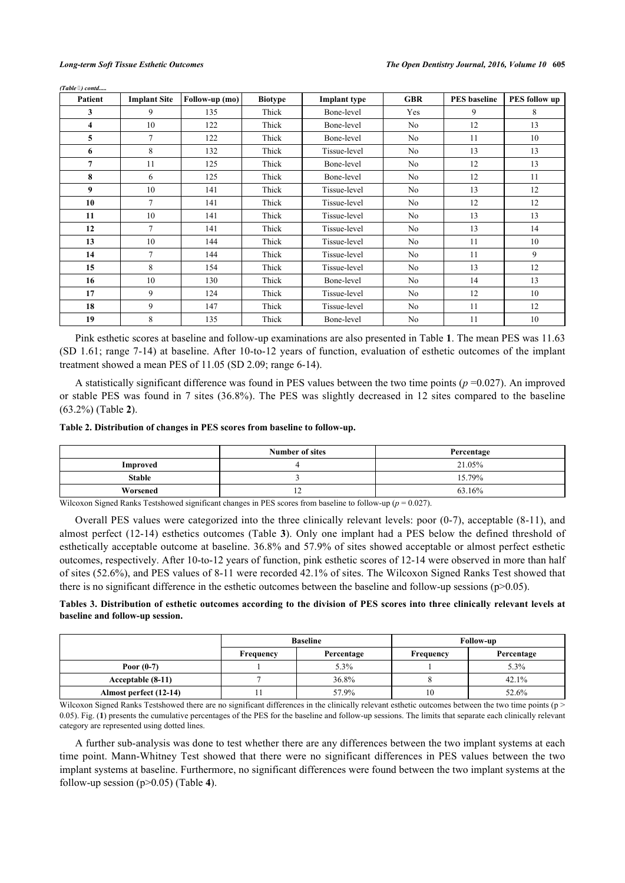|  | (Table 3) contd |
|--|-----------------|
|  |                 |

| Patient | <b>Implant Site</b> | Follow-up (mo) | <b>Biotype</b> | <b>Implant</b> type | <b>GBR</b>     | <b>PES</b> baseline | <b>PES follow up</b> |
|---------|---------------------|----------------|----------------|---------------------|----------------|---------------------|----------------------|
| 3       | 9                   | 135            | Thick          | Bone-level          | Yes            | 9                   | 8                    |
| 4       | 10                  | 122            | Thick          | Bone-level          | No             | 12                  | 13                   |
| 5       | 7                   | 122            | Thick          | Bone-level          | No             | 11                  | 10                   |
| 6       | 8                   | 132            | Thick          | Tissue-level        | N <sub>o</sub> | 13                  | 13                   |
| 7       | 11                  | 125            | Thick          | Bone-level          | No.            | 12                  | 13                   |
| 8       | 6                   | 125            | Thick          | Bone-level          | N <sub>o</sub> | 12                  | 11                   |
| 9       | 10                  | 141            | Thick          | Tissue-level        | No             | 13                  | 12                   |
| 10      | 7                   | 141            | Thick          | Tissue-level        | No             | 12                  | 12                   |
| 11      | 10                  | 141            | Thick          | Tissue-level        | No             | 13                  | 13                   |
| 12      | $\overline{7}$      | 141            | Thick          | Tissue-level        | No             | 13                  | 14                   |
| 13      | 10                  | 144            | Thick          | Tissue-level        | No             | 11                  | 10                   |
| 14      | 7                   | 144            | Thick          | Tissue-level        | No             | 11                  | 9                    |
| 15      | 8                   | 154            | Thick          | Tissue-level        | N <sub>o</sub> | 13                  | 12                   |
| 16      | 10                  | 130            | Thick          | Bone-level          | N <sub>o</sub> | 14                  | 13                   |
| 17      | 9                   | 124            | Thick          | Tissue-level        | N <sub>o</sub> | 12                  | 10                   |
| 18      | 9                   | 147            | Thick          | Tissue-level        | No             | 11                  | 12                   |
| 19      | 8                   | 135            | Thick          | Bone-level          | No             | 11                  | 10                   |

Pink esthetic scores at baseline and follow-up examinations are also presented in Table **[1](#page-2-0)**. The mean PES was 11.63 (SD 1.61; range 7-14) at baseline. After 10-to-12 years of function, evaluation of esthetic outcomes of the implant treatment showed a mean PES of 11.05 (SD 2.09; range 6-14).

A statistically significant difference was found in PES values between the two time points  $(p=0.027)$ . An improved or stable PES was found in 7 sites (36.8%). The PES was slightly decreased in 12 sites compared to the baseline (63.2%) (Table **[2](#page-3-0)**).

# <span id="page-3-0"></span>**Table 2. Distribution of changes in PES scores from baseline to follow-up.**

|               | Number of sites | Percentage |
|---------------|-----------------|------------|
| Improved      |                 | 21.05%     |
| <b>Stable</b> |                 | 15.79%     |
| Worsened      | -               | 63.16%     |

Wilcoxon Signed Ranks Testshowed significant changes in PES scores from baseline to follow-up ( $p = 0.027$ ).

Overall PES values were categorized into the three clinically relevant levels: poor (0-7), acceptable (8-11), and almost perfect (12-14) esthetics outcomes (Table **[3](#page-3-1)**). Only one implant had a PES below the defined threshold of esthetically acceptable outcome at baseline. 36.8% and 57.9% of sites showed acceptable or almost perfect esthetic outcomes, respectively. After 10-to-12 years of function, pink esthetic scores of 12-14 were observed in more than half of sites (52.6%), and PES values of 8-11 were recorded 42.1% of sites. The Wilcoxon Signed Ranks Test showed that there is no significant difference in the esthetic outcomes between the baseline and follow-up sessions (p>0.05).

# <span id="page-3-1"></span>**Tables 3. Distribution of esthetic outcomes according to the division of PES scores into three clinically relevant levels at baseline and follow-up session.**

|                        |                  | <b>Baseline</b> | <b>Follow-up</b> |            |  |
|------------------------|------------------|-----------------|------------------|------------|--|
|                        | <b>Frequency</b> | Percentage      | Frequency        | Percentage |  |
| Poor $(0-7)$           |                  | $5.3\%$         |                  | 5.3%       |  |
| Acceptable (8-11)      |                  | 36.8%           |                  | 42.1%      |  |
| Almost perfect (12-14) |                  | 57.9%           | 10               | 52.6%      |  |

Wilcoxon Signed Ranks Testshowed there are no significant differences in the clinically relevant esthetic outcomes between the two time points ( $p$ ) 0.05). Fig. (**[1](#page-4-0)**) presents the cumulative percentages of the PES for the baseline and follow-up sessions. The limits that separate each clinically relevant category are represented using dotted lines.

<span id="page-3-2"></span>A further sub-analysis was done to test whether there are any differences between the two implant systems at each time point. Mann-Whitney Test showed that there were no significant differences in PES values between the two implant systems at baseline. Furthermore, no significant differences were found between the two implant systems at the follow-up session (p>0.05) (Table **[4](#page-3-2)**).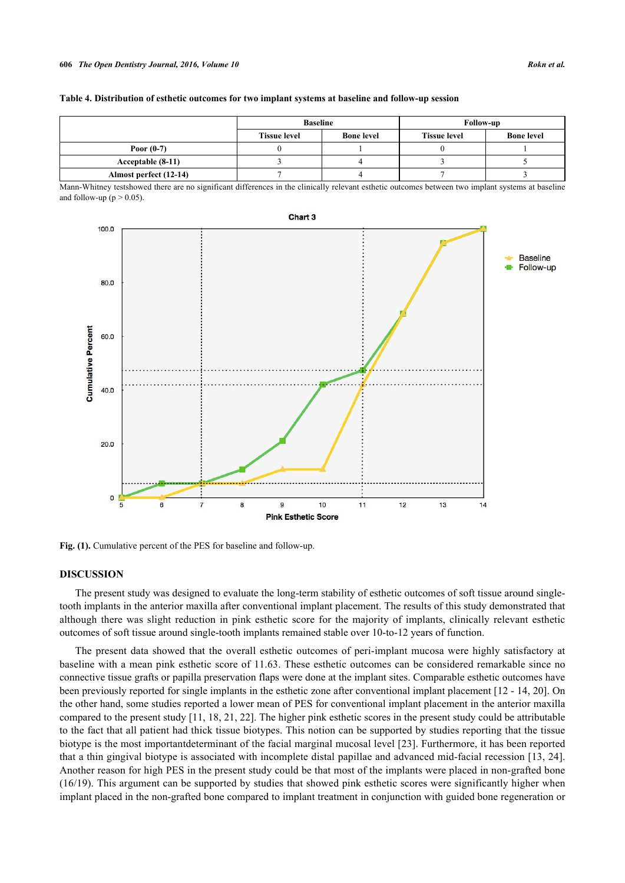### **606** *The Open Dentistry Journal, 2016, Volume 10 Rokn et al.*

| Table 4. Distribution of esthetic outcomes for two implant systems at baseline and follow-up session |  |  |  |  |
|------------------------------------------------------------------------------------------------------|--|--|--|--|
|                                                                                                      |  |  |  |  |

|                        | <b>Baseline</b>     |                   | <b>Follow-up</b>    |                   |  |
|------------------------|---------------------|-------------------|---------------------|-------------------|--|
|                        | <b>Tissue level</b> | <b>Bone level</b> | <b>Tissue level</b> | <b>Bone level</b> |  |
| Poor $(0-7)$           |                     |                   |                     |                   |  |
| Acceptable (8-11)      |                     |                   |                     |                   |  |
| Almost perfect (12-14) |                     |                   |                     |                   |  |

Mann-Whitney testshowed there are no significant differences in the clinically relevant esthetic outcomes between two implant systems at baseline and follow-up ( $p > 0.05$ ).

<span id="page-4-0"></span>

Fig. (1). Cumulative percent of the PES for baseline and follow-up.

# **DISCUSSION**

The present study was designed to evaluate the long-term stability of esthetic outcomes of soft tissue around singletooth implants in the anterior maxilla after conventional implant placement. The results of this study demonstrated that although there was slight reduction in pink esthetic score for the majority of implants, clinically relevant esthetic outcomes of soft tissue around single-tooth implants remained stable over 10-to-12 years of function.

The present data showed that the overall esthetic outcomes of peri-implant mucosa were highly satisfactory at baseline with a mean pink esthetic score of 11.63. These esthetic outcomes can be considered remarkable since no connective tissue grafts or papilla preservation flaps were done at the implant sites. Comparable esthetic outcomes have been previously reported for single implants in the esthetic zone after conventional implant placement [[12](#page-6-8) - [14,](#page-6-9) [20\]](#page-7-1). On the other hand, some studies reported a lower mean of PES for conventional implant placement in the anterior maxilla compared to the present study [\[11](#page-6-13), [18](#page-6-12), [21,](#page-7-2) [22\]](#page-7-3). The higher pink esthetic scores in the present study could be attributable to the fact that all patient had thick tissue biotypes. This notion can be supported by studies reporting that the tissue biotype is the most importantdeterminant of the facial marginal mucosal level [[23\]](#page-7-4). Furthermore, it has been reported that a thin gingival biotype is associated with incomplete distal papillae and advanced mid-facial recession [[13,](#page-6-7) [24\]](#page-7-5). Another reason for high PES in the present study could be that most of the implants were placed in non-grafted bone (16/19). This argument can be supported by studies that showed pink esthetic scores were significantly higher when implant placed in the non-grafted bone compared to implant treatment in conjunction with guided bone regeneration or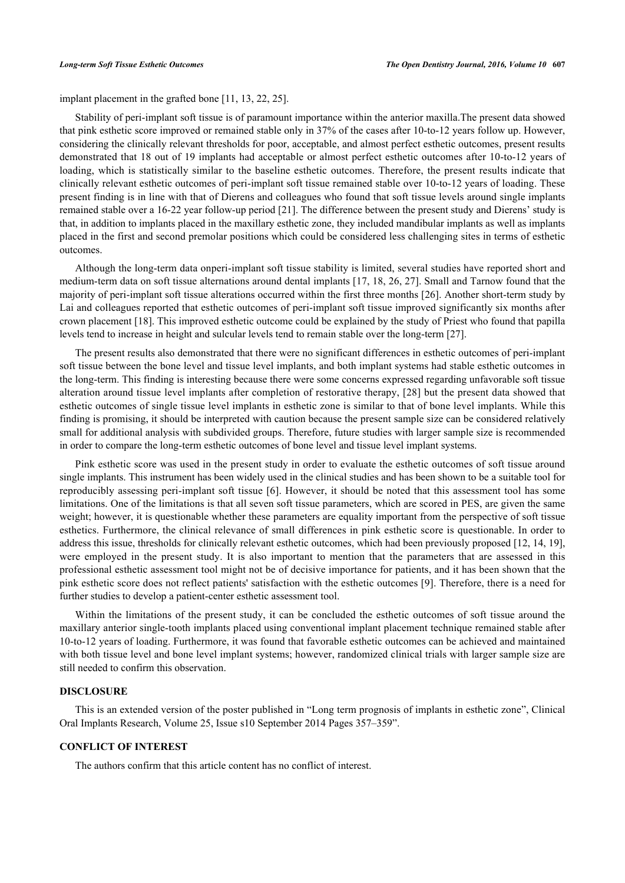implant placement in the grafted bone [\[11](#page-6-13), [13](#page-6-7), [22](#page-7-3), [25](#page-7-6)].

Stability of peri-implant soft tissue is of paramount importance within the anterior maxilla.The present data showed that pink esthetic score improved or remained stable only in 37% of the cases after 10-to-12 years follow up. However, considering the clinically relevant thresholds for poor, acceptable, and almost perfect esthetic outcomes, present results demonstrated that 18 out of 19 implants had acceptable or almost perfect esthetic outcomes after 10-to-12 years of loading, which is statistically similar to the baseline esthetic outcomes. Therefore, the present results indicate that clinically relevant esthetic outcomes of peri-implant soft tissue remained stable over 10-to-12 years of loading. These present finding is in line with that of Dierens and colleagues who found that soft tissue levels around single implants remained stable over a 16-22 year follow-up period [\[21](#page-7-2)]. The difference between the present study and Dierens' study is that, in addition to implants placed in the maxillary esthetic zone, they included mandibular implants as well as implants placed in the first and second premolar positions which could be considered less challenging sites in terms of esthetic outcomes.

Although the long-term data onperi-implant soft tissue stability is limited, several studies have reported short and medium-term data on soft tissue alternations around dental implants [[17,](#page-6-11) [18](#page-6-12), [26](#page-7-7), [27\]](#page-7-8). Small and Tarnow found that the majority of peri-implant soft tissue alterations occurred within the first three months [[26\]](#page-7-7). Another short-term study by Lai and colleagues reported that esthetic outcomes of peri-implant soft tissue improved significantly six months after crown placement [\[18](#page-6-12)]. This improved esthetic outcome could be explained by the study of Priest who found that papilla levels tend to increase in height and sulcular levels tend to remain stable over the long-term [[27\]](#page-7-8).

The present results also demonstrated that there were no significant differences in esthetic outcomes of peri-implant soft tissue between the bone level and tissue level implants, and both implant systems had stable esthetic outcomes in the long-term. This finding is interesting because there were some concerns expressed regarding unfavorable soft tissue alteration around tissue level implants after completion of restorative therapy, [\[28\]](#page-7-9) but the present data showed that esthetic outcomes of single tissue level implants in esthetic zone is similar to that of bone level implants. While this finding is promising, it should be interpreted with caution because the present sample size can be considered relatively small for additional analysis with subdivided groups. Therefore, future studies with larger sample size is recommended in order to compare the long-term esthetic outcomes of bone level and tissue level implant systems.

Pink esthetic score was used in the present study in order to evaluate the esthetic outcomes of soft tissue around single implants. This instrument has been widely used in the clinical studies and has been shown to be a suitable tool for reproducibly assessing peri-implant soft tissue [\[6](#page-6-5)]. However, it should be noted that this assessment tool has some limitations. One of the limitations is that all seven soft tissue parameters, which are scored in PES, are given the same weight; however, it is questionable whether these parameters are equality important from the perspective of soft tissue esthetics. Furthermore, the clinical relevance of small differences in pink esthetic score is questionable. In order to address this issue, thresholds for clinically relevant esthetic outcomes, which had been previously proposed [[12,](#page-6-8) [14,](#page-6-9) [19\]](#page-7-0), were employed in the present study. It is also important to mention that the parameters that are assessed in this professional esthetic assessment tool might not be of decisive importance for patients, and it has been shown that the pink esthetic score does not reflect patients' satisfaction with the esthetic outcomes [[9\]](#page-6-6). Therefore, there is a need for further studies to develop a patient-center esthetic assessment tool.

Within the limitations of the present study, it can be concluded the esthetic outcomes of soft tissue around the maxillary anterior single-tooth implants placed using conventional implant placement technique remained stable after 10-to-12 years of loading. Furthermore, it was found that favorable esthetic outcomes can be achieved and maintained with both tissue level and bone level implant systems; however, randomized clinical trials with larger sample size are still needed to confirm this observation.

### **DISCLOSURE**

This is an extended version of the poster published in "Long term prognosis of implants in esthetic zone", Clinical Oral Implants Research, Volume 25, Issue s10 September 2014 Pages 357–359".

### **CONFLICT OF INTEREST**

The authors confirm that this article content has no conflict of interest.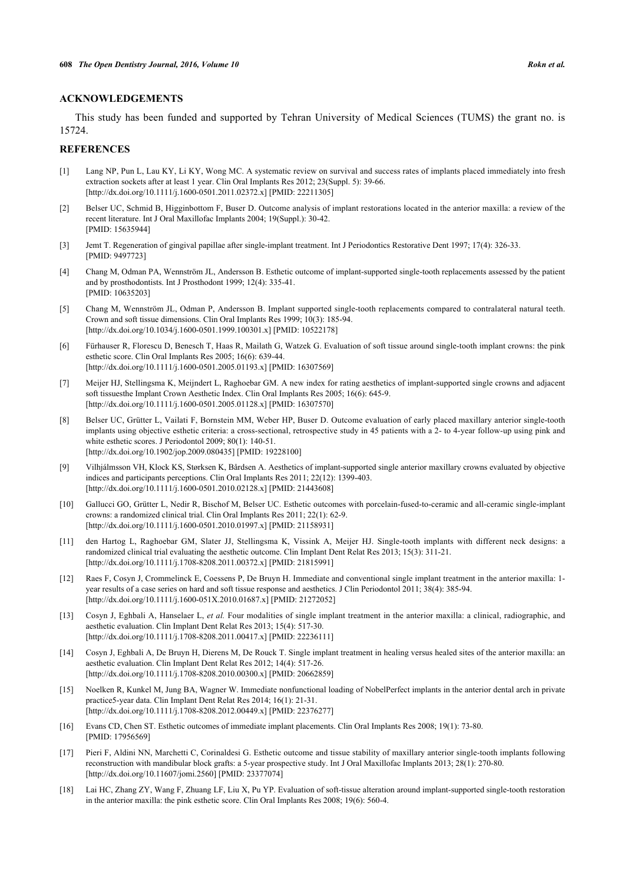### **ACKNOWLEDGEMENTS**

This study has been funded and supported by Tehran University of Medical Sciences (TUMS) the grant no. is 15724.

### **REFERENCES**

- <span id="page-6-0"></span>[1] Lang NP, Pun L, Lau KY, Li KY, Wong MC. A systematic review on survival and success rates of implants placed immediately into fresh extraction sockets after at least 1 year. Clin Oral Implants Res 2012; 23(Suppl. 5): 39-66. [\[http://dx.doi.org/10.1111/j.1600-0501.2011.02372.x\]](http://dx.doi.org/10.1111/j.1600-0501.2011.02372.x) [PMID: [22211305](http://www.ncbi.nlm.nih.gov/pubmed/22211305)]
- <span id="page-6-1"></span>[2] Belser UC, Schmid B, Higginbottom F, Buser D. Outcome analysis of implant restorations located in the anterior maxilla: a review of the recent literature. Int J Oral Maxillofac Implants 2004; 19(Suppl.): 30-42. [PMID: [15635944\]](http://www.ncbi.nlm.nih.gov/pubmed/15635944)
- <span id="page-6-2"></span>[3] Jemt T. Regeneration of gingival papillae after single-implant treatment. Int J Periodontics Restorative Dent 1997; 17(4): 326-33. [PMID: [9497723\]](http://www.ncbi.nlm.nih.gov/pubmed/9497723)
- <span id="page-6-3"></span>[4] Chang M, Odman PA, Wennström JL, Andersson B. Esthetic outcome of implant-supported single-tooth replacements assessed by the patient and by prosthodontists. Int J Prosthodont 1999; 12(4): 335-41. [PMID: [10635203\]](http://www.ncbi.nlm.nih.gov/pubmed/10635203)
- [5] Chang M, Wennström JL, Odman P, Andersson B. Implant supported single-tooth replacements compared to contralateral natural teeth. Crown and soft tissue dimensions. Clin Oral Implants Res 1999; 10(3): 185-94. [\[http://dx.doi.org/10.1034/j.1600-0501.1999.100301.x\]](http://dx.doi.org/10.1034/j.1600-0501.1999.100301.x) [PMID: [10522178](http://www.ncbi.nlm.nih.gov/pubmed/10522178)]
- <span id="page-6-5"></span>[6] Fürhauser R, Florescu D, Benesch T, Haas R, Mailath G, Watzek G. Evaluation of soft tissue around single-tooth implant crowns: the pink esthetic score. Clin Oral Implants Res 2005; 16(6): 639-44. [\[http://dx.doi.org/10.1111/j.1600-0501.2005.01193.x\]](http://dx.doi.org/10.1111/j.1600-0501.2005.01193.x) [PMID: [16307569](http://www.ncbi.nlm.nih.gov/pubmed/16307569)]
- [7] Meijer HJ, Stellingsma K, Meijndert L, Raghoebar GM. A new index for rating aesthetics of implant-supported single crowns and adjacent soft tissuesthe Implant Crown Aesthetic Index. Clin Oral Implants Res 2005; 16(6): 645-9. [\[http://dx.doi.org/10.1111/j.1600-0501.2005.01128.x\]](http://dx.doi.org/10.1111/j.1600-0501.2005.01128.x) [PMID: [16307570](http://www.ncbi.nlm.nih.gov/pubmed/16307570)]
- <span id="page-6-4"></span>[8] Belser UC, Grütter L, Vailati F, Bornstein MM, Weber HP, Buser D. Outcome evaluation of early placed maxillary anterior single-tooth implants using objective esthetic criteria: a cross-sectional, retrospective study in 45 patients with a 2- to 4-year follow-up using pink and white esthetic scores. J Periodontol 2009; 80(1): 140-51. [\[http://dx.doi.org/10.1902/jop.2009.080435](http://dx.doi.org/10.1902/jop.2009.080435)] [PMID: [19228100\]](http://www.ncbi.nlm.nih.gov/pubmed/19228100)
- <span id="page-6-6"></span>[9] Vilhjálmsson VH, Klock KS, Størksen K, Bårdsen A. Aesthetics of implant-supported single anterior maxillary crowns evaluated by objective indices and participants perceptions. Clin Oral Implants Res 2011; 22(12): 1399-403. [\[http://dx.doi.org/10.1111/j.1600-0501.2010.02128.x\]](http://dx.doi.org/10.1111/j.1600-0501.2010.02128.x) [PMID: [21443608](http://www.ncbi.nlm.nih.gov/pubmed/21443608)]
- [10] Gallucci GO, Grütter L, Nedir R, Bischof M, Belser UC. Esthetic outcomes with porcelain-fused-to-ceramic and all-ceramic single-implant crowns: a randomized clinical trial. Clin Oral Implants Res 2011; 22(1): 62-9. [\[http://dx.doi.org/10.1111/j.1600-0501.2010.01997.x\]](http://dx.doi.org/10.1111/j.1600-0501.2010.01997.x) [PMID: [21158931](http://www.ncbi.nlm.nih.gov/pubmed/21158931)]
- <span id="page-6-13"></span>[11] den Hartog L, Raghoebar GM, Slater JJ, Stellingsma K, Vissink A, Meijer HJ. Single-tooth implants with different neck designs: a randomized clinical trial evaluating the aesthetic outcome. Clin Implant Dent Relat Res 2013; 15(3): 311-21. [\[http://dx.doi.org/10.1111/j.1708-8208.2011.00372.x\]](http://dx.doi.org/10.1111/j.1708-8208.2011.00372.x) [PMID: [21815991](http://www.ncbi.nlm.nih.gov/pubmed/21815991)]
- <span id="page-6-8"></span>[12] Raes F, Cosyn J, Crommelinck E, Coessens P, De Bruyn H. Immediate and conventional single implant treatment in the anterior maxilla: 1 year results of a case series on hard and soft tissue response and aesthetics. J Clin Periodontol 2011; 38(4): 385-94. [\[http://dx.doi.org/10.1111/j.1600-051X.2010.01687.x](http://dx.doi.org/10.1111/j.1600-051X.2010.01687.x)] [PMID: [21272052](http://www.ncbi.nlm.nih.gov/pubmed/21272052)]
- <span id="page-6-7"></span>[13] Cosyn J, Eghbali A, Hanselaer L, *et al.* Four modalities of single implant treatment in the anterior maxilla: a clinical, radiographic, and aesthetic evaluation. Clin Implant Dent Relat Res 2013; 15(4): 517-30. [\[http://dx.doi.org/10.1111/j.1708-8208.2011.00417.x\]](http://dx.doi.org/10.1111/j.1708-8208.2011.00417.x) [PMID: [22236111](http://www.ncbi.nlm.nih.gov/pubmed/22236111)]
- <span id="page-6-9"></span>[14] Cosyn J, Eghbali A, De Bruyn H, Dierens M, De Rouck T. Single implant treatment in healing versus healed sites of the anterior maxilla: an aesthetic evaluation. Clin Implant Dent Relat Res 2012; 14(4): 517-26. [\[http://dx.doi.org/10.1111/j.1708-8208.2010.00300.x\]](http://dx.doi.org/10.1111/j.1708-8208.2010.00300.x) [PMID: [20662859](http://www.ncbi.nlm.nih.gov/pubmed/20662859)]
- <span id="page-6-10"></span>[15] Noelken R, Kunkel M, Jung BA, Wagner W. Immediate nonfunctional loading of NobelPerfect implants in the anterior dental arch in private practice5-year data. Clin Implant Dent Relat Res 2014; 16(1): 21-31. [\[http://dx.doi.org/10.1111/j.1708-8208.2012.00449.x\]](http://dx.doi.org/10.1111/j.1708-8208.2012.00449.x) [PMID: [22376277](http://www.ncbi.nlm.nih.gov/pubmed/22376277)]
- [16] Evans CD, Chen ST. Esthetic outcomes of immediate implant placements. Clin Oral Implants Res 2008; 19(1): 73-80. [PMID: [17956569\]](http://www.ncbi.nlm.nih.gov/pubmed/17956569)
- <span id="page-6-11"></span>[17] Pieri F, Aldini NN, Marchetti C, Corinaldesi G. Esthetic outcome and tissue stability of maxillary anterior single-tooth implants following reconstruction with mandibular block grafts: a 5-year prospective study. Int J Oral Maxillofac Implants 2013; 28(1): 270-80. [\[http://dx.doi.org/10.11607/jomi.2560](http://dx.doi.org/10.11607/jomi.2560)] [PMID: [23377074](http://www.ncbi.nlm.nih.gov/pubmed/23377074)]
- <span id="page-6-12"></span>[18] Lai HC, Zhang ZY, Wang F, Zhuang LF, Liu X, Pu YP. Evaluation of soft-tissue alteration around implant-supported single-tooth restoration in the anterior maxilla: the pink esthetic score. Clin Oral Implants Res 2008; 19(6): 560-4.